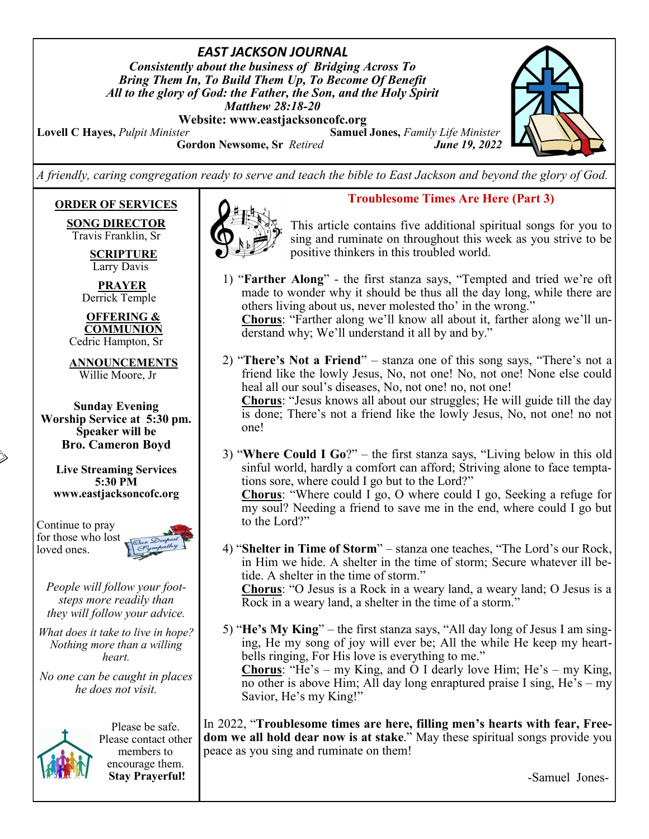*EAST JACKSON JOURNAL Consistently about the business of Bridging Across To Bring Them In, To Build Them Up, To Become Of Benefit All to the glory of God: the Father, the Son, and the Holy Spirit Matthew 28:18-20*

**Website: www.eastjacksoncofc.org**

to the Lord?"

**Lovell C Hayes,** *Pulpit Minister* **Samuel Jones,** *Family Life Minister* **Gordon Newsome, Sr** *Retired June 19, 2022*



*A friendly, caring congregation ready to serve and teach the bible to East Jackson and beyond the glory of God.*

## **ORDER OF SERVICES**

**SONG DIRECTOR** Travis Franklin, Sr

> **SCRIPTURE** Larry Davis

 **PRAYER** Derrick Temple

 **OFFERING & COMMUNION** Cedric Hampton, Sr

 **ANNOUNCEMENTS** Willie Moore, Jr

**Sunday Evening Worship Service at 5:30 pm. Speaker will be Bro. Cameron Boyd**

**Live Streaming Services 5:30 PM www.eastjacksoncofc.org**

Continue to pray for those who lost loved ones.



*People will follow your footsteps more readily than they will follow your advice.*

*What does it take to live in hope? Nothing more than a willing heart.* 

*No one can be caught in places he does not visit.* 



Please be safe. Please contact other members to encourage them. **Stay Prayerful!**



#### **Troublesome Times Are Here (Part 3)**

This article contains five additional spiritual songs for you to sing and ruminate on throughout this week as you strive to be positive thinkers in this troubled world.

- 1) "**Farther Along**" the first stanza says, "Tempted and tried we're oft made to wonder why it should be thus all the day long, while there are others living about us, never molested tho' in the wrong." **Chorus**: "Farther along we'll know all about it, farther along we'll understand why; We'll understand it all by and by."
- 2) "**There's Not a Friend**" stanza one of this song says, "There's not a friend like the lowly Jesus, No, not one! No, not one! None else could heal all our soul's diseases, No, not one! no, not one!

**Chorus**: "Jesus knows all about our struggles; He will guide till the day is done; There's not a friend like the lowly Jesus, No, not one! no not one!

- 3) "**Where Could I Go**?" the first stanza says, "Living below in this old sinful world, hardly a comfort can afford; Striving alone to face temptations sore, where could I go but to the Lord?" **Chorus**: "Where could I go, O where could I go, Seeking a refuge for my soul? Needing a friend to save me in the end, where could I go but
- 4) "**Shelter in Time of Storm**" stanza one teaches, "The Lord's our Rock, in Him we hide. A shelter in the time of storm; Secure whatever ill betide. A shelter in the time of storm." **Chorus**: "O Jesus is a Rock in a weary land, a weary land; O Jesus is a Rock in a weary land, a shelter in the time of a storm."
- 5) "**He's My King**" the first stanza says, "All day long of Jesus I am singing, He my song of joy will ever be; All the while He keep my heartbells ringing, For His love is everything to me." **Chorus**: "He's – my King, and O I dearly love Him; He's – my King, no other is above Him; All day long enraptured praise I sing, He's – my Savior, He's my King!"

In 2022, "**Troublesome times are here, filling men's hearts with fear, Freedom we all hold dear now is at stake**." May these spiritual songs provide you peace as you sing and ruminate on them!

-Samuel Jones-